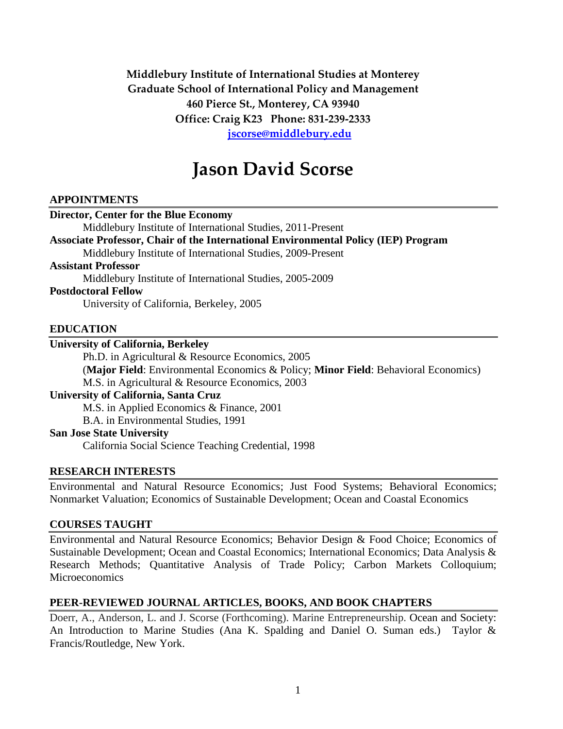## **Middlebury Institute of International Studies at Monterey Graduate School of International Policy and Management 460 Pierce St., Monterey, CA 93940 Office: Craig K23 Phone: 831-239-2333 [jscorse@middlebury.edu](mailto:jscorse@middlebury.edu)**

# **Jason David Scorse**

## **APPOINTMENTS**

#### **Director, Center for the Blue Economy**

Middlebury Institute of International Studies, 2011-Present

**Associate Professor, Chair of the International Environmental Policy (IEP) Program**

Middlebury Institute of International Studies, 2009-Present

## **Assistant Professor**

Middlebury Institute of International Studies, 2005-2009

#### **Postdoctoral Fellow**

University of California, Berkeley, 2005

### **EDUCATION**

## **University of California, Berkeley**

Ph.D. in Agricultural & Resource Economics, 2005

(**Major Field**: Environmental Economics & Policy; **Minor Field**: Behavioral Economics) M.S. in Agricultural & Resource Economics, 2003

#### **University of California, Santa Cruz**

M.S. in Applied Economics & Finance, 2001

B.A. in Environmental Studies, 1991

#### **San Jose State University**

California Social Science Teaching Credential, 1998

## **RESEARCH INTERESTS**

Environmental and Natural Resource Economics; Just Food Systems; Behavioral Economics; Nonmarket Valuation; Economics of Sustainable Development; Ocean and Coastal Economics

## **COURSES TAUGHT**

Environmental and Natural Resource Economics; Behavior Design & Food Choice; Economics of Sustainable Development; Ocean and Coastal Economics; International Economics; Data Analysis & Research Methods; Quantitative Analysis of Trade Policy; Carbon Markets Colloquium; **Microeconomics** 

## **PEER-REVIEWED JOURNAL ARTICLES, BOOKS, AND BOOK CHAPTERS**

Doerr, A., Anderson, L. and J. Scorse (Forthcoming). Marine Entrepreneurship. Ocean and Society: An Introduction to Marine Studies (Ana K. Spalding and Daniel O. Suman eds.) Taylor & Francis/Routledge, New York.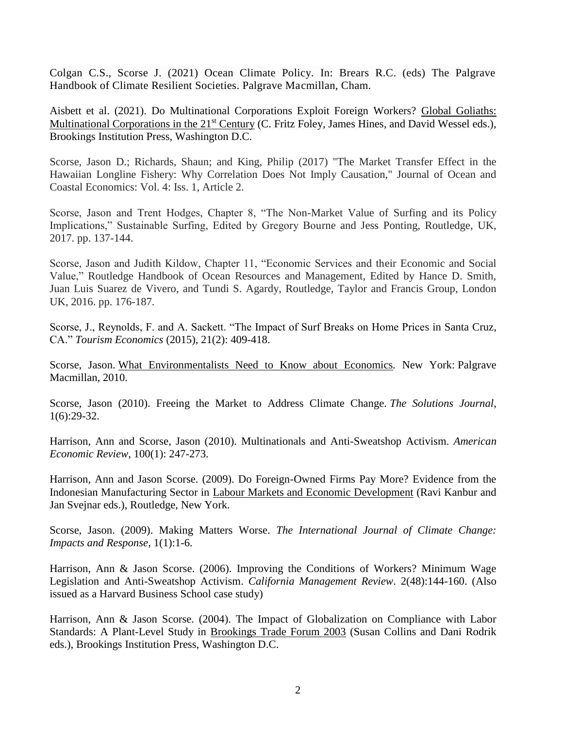Colgan C.S., Scorse J. (2021) Ocean Climate Policy. In: Brears R.C. (eds) The Palgrave Handbook of Climate Resilient Societies. Palgrave Macmillan, Cham.

Aisbett et al. (2021). Do Multinational Corporations Exploit Foreign Workers? Global Goliaths: Multinational Corporations in the 21<sup>st</sup> Century (C. Fritz [Foley,](https://www.brookings.edu/search/C.+Fritz+Foley/) James [Hines,](https://www.brookings.edu/search/James+Hines/) and David [Wessel](https://www.brookings.edu/experts/david-wessel/) eds.), Brookings Institution Press, Washington D.C.

Scorse, Jason D.; Richards, Shaun; and King, Philip (2017) "The Market Transfer Effect in the Hawaiian Longline Fishery: Why Correlation Does Not Imply Causation," Journal of Ocean and Coastal Economics: Vol. 4: Iss. 1, Article 2.

Scorse, Jason and Trent Hodges, Chapter 8, "The Non-Market Value of Surfing and its Policy Implications," Sustainable Surfing, Edited by Gregory Bourne and Jess Ponting, Routledge, UK, 2017. pp. 137-144.

Scorse, Jason and Judith Kildow, Chapter 11, "Economic Services and their Economic and Social Value," Routledge Handbook of Ocean Resources and Management, Edited by Hance D. Smith, Juan Luis Suarez de Vivero, and Tundi S. Agardy, Routledge, Taylor and Francis Group, London UK, 2016. pp. 176-187.

Scorse, J., Reynolds, F. and A. Sackett. "The Impact of Surf Breaks on Home Prices in Santa Cruz, CA." *Tourism Economics* (2015), 21(2): 409-418.

Scorse, Jason. [What Environmentalists Need to Know about Economics](http://www.amazon.com/What-Environmentalists-Need-about-Economics/dp/0230107311/ref=sr_1_1?ie=UTF8&s=books&qid=1278961620&sr=8-1)*.* New York: Palgrave Macmillan, 2010.

Scorse, Jason (2010). Freeing the Market to Address Climate Change. *The Solutions Journal,* 1(6):29-32.

Harrison, Ann and Scorse, Jason (2010). Multinationals and Anti-Sweatshop Activism. *American Economic Review*, 100(1): 247-273.

Harrison, Ann and Jason Scorse. (2009). Do Foreign-Owned Firms Pay More? Evidence from the Indonesian Manufacturing Sector in Labour Markets and Economic Development (Ravi Kanbur and Jan Svejnar eds.), Routledge, New York.

Scorse, Jason. (2009). Making Matters Worse. *The International Journal of Climate Change: Impacts and Response,* 1(1):1-6.

Harrison, Ann & Jason Scorse. (2006). Improving the Conditions of Workers? Minimum Wage Legislation and Anti-Sweatshop Activism. *California Management Review*. 2(48):144-160. (Also issued as a Harvard Business School case study)

Harrison, Ann & Jason Scorse. (2004). The Impact of Globalization on Compliance with Labor Standards: A Plant-Level Study in Brookings Trade Forum 2003 (Susan Collins and Dani Rodrik eds.), Brookings Institution Press, Washington D.C.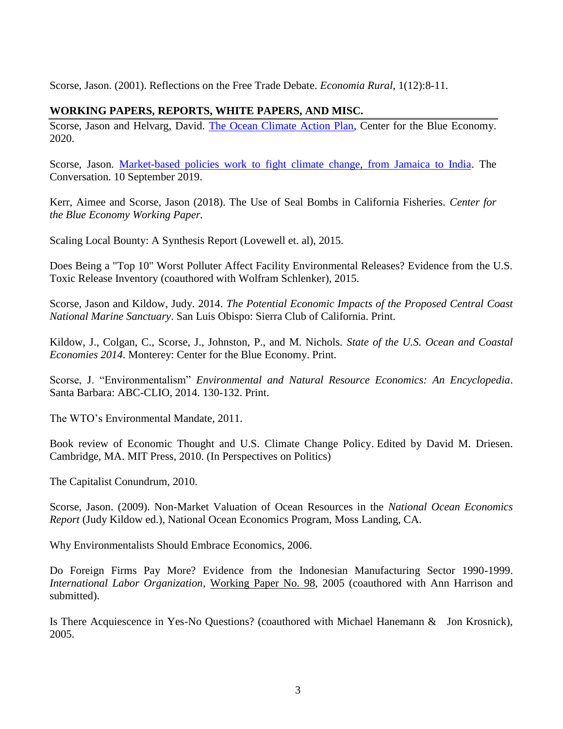Scorse, Jason. (2001). Reflections on the Free Trade Debate. *Economia Rural*, 1(12):8-11.

## **WORKING PAPERS, REPORTS, WHITE PAPERS, AND MISC.**

Scorse, Jason and Helvarg, David. [The Ocean Climate Action Plan,](https://www.middlebury.edu/institute/sites/www.middlebury.edu.institute/files/2021-01/OCAP%20Report_R4_REV_Webview-NoAppendix-1.11.21.pdf?fv=Tgl7_dnN) Center for the Blue Economy. 2020.

Scorse, Jason. [Market-based policies work to fight climate change, from Jamaica to India.](https://theconversation.com/market-based-policies-work-to-fight-climate-change-from-india-to-jamaica-121685) The Conversation. 10 September 2019.

Kerr, Aimee and Scorse, Jason (2018). The Use of Seal Bombs in California Fisheries. *Center for the Blue Economy Working Paper.*

Scaling Local Bounty: A Synthesis Report (Lovewell et. al), 2015.

[Does Being a "Top 10" Worst Polluter Affect Facility Environmental Releases? Evidence from the U.S.](http://policy.miis.edu/docs/IEP/Scorse%20-%20Does%20Being%20a%20Top%2010%20Worst%20Polluter%20Affect%20Facility%20Environmental%20Releases.pdf)  [Toxic Release Inventory](http://policy.miis.edu/docs/IEP/Scorse%20-%20Does%20Being%20a%20Top%2010%20Worst%20Polluter%20Affect%20Facility%20Environmental%20Releases.pdf) (coauthored with Wolfram Schlenker), 2015.

Scorse, Jason and Kildow, Judy. 2014. *The Potential Economic Impacts of the Proposed Central Coast National Marine Sanctuary*. San Luis Obispo: Sierra Club of California. Print.

Kildow, J., Colgan, C., Scorse, J., Johnston, P., and M. Nichols. *State of the U.S. Ocean and Coastal Economies 2014*. Monterey: Center for the Blue Economy. Print.

Scorse, J. "Environmentalism" *Environmental and Natural Resource Economics: An Encyclopedia*. Santa Barbara: ABC-CLIO, 2014. 130-132. Print.

The WTO's Environmental Mandate, 2011.

[Book review of Economic Thought and U.S. Climate Change Policy.](http://www.miis.edu/media/view/25868/original/92812920env20driesen20by20scorse.pdf) Edited by David M. Driesen. Cambridge, MA. MIT Press, 2010. (In Perspectives on Politics)

The Capitalist Conundrum, 2010.

Scorse, Jason. (2009). Non-Market Valuation of Ocean Resources in the *National Ocean Economics Report* (Judy Kildow ed.), National Ocean Economics Program, Moss Landing, CA.

Why Environmentalists Should Embrace Economics, 2006.

Do Foreign Firms Pay More? Evidence from the Indonesian Manufacturing Sector 1990-1999. *International Labor Organization*, [Working Paper No. 98,](http://www.ilo.org/public/english/employment/multi/download/wp98.pdf) 2005 (coauthored with Ann Harrison and submitted).

Is There Acquiescence in Yes-No Questions? (coauthored with Michael Hanemann & Jon Krosnick), 2005.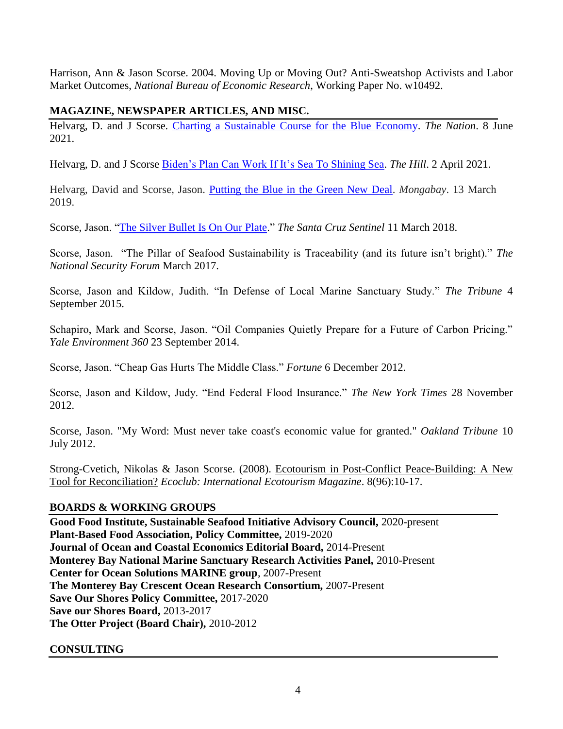Harrison, Ann & Jason Scorse. 2004. Moving Up or Moving Out? Anti-Sweatshop Activists and Labor Market Outcomes, *National Bureau of Economic Research*, Working Paper No. w10492.

## **MAGAZINE, NEWSPAPER ARTICLES, AND MISC.**

Helvarg, D. and J Scorse. [Charting a Sustainable Course for the Blue Economy.](https://www.thenation.com/article/environment/world-oceans-day-blue-economy/) *The Nation*. 8 June 2021.

Helvarg, D. and J Scorse [Biden's Plan Can Work If It's Sea To Shining Sea.](https://thehill.com/opinion/energy-environment/537322-bidens-climate-plan-can-work-if-its-sea-to-shining-sea?rl=1) *The Hill*. 2 April 2021.

Helvarg, David and Scorse, Jason. [Putting the Blue in the Green New Deal.](https://news.mongabay.com/2019/03/putting-the-blue-in-the-green-new-deal-commentary/) *Mongabay*. 13 March 2019.

Scorse, Jason. ["The Silver Bullet Is On Our Plate.](https://www.santacruzsentinel.com/2018/03/09/jason-scorse-the-silver-bullet-is-on-our-plate/)" *The Santa Cruz Sentinel* 11 March 2018.

Scorse, Jason. "The Pillar of Seafood Sustainability is Traceability (and its future isn't bright)." *The National Security Forum* March 2017.

Scorse, Jason and Kildow, Judith. "In Defense of Local Marine Sanctuary Study." *The Tribune* 4 September 2015.

Schapiro, Mark and Scorse, Jason. "Oil Companies Quietly Prepare for a Future of Carbon Pricing." *Yale Environment 360* 23 September 2014.

Scorse, Jason. "Cheap Gas Hurts The Middle Class." *Fortune* 6 December 2012.

Scorse, Jason and Kildow, Judy. "End Federal Flood Insurance." *The New York Times* 28 November 2012.

Scorse, Jason. ["My Word: Must never take coast's economic value for granted."](http://www.insidebayarea.com/opinion/ci_21046606/my-word-must-never-take-coasts-economic-value?refresh=no) *Oakland Tribune* 10 July 2012.

Strong-Cvetich, Nikolas & Jason Scorse. (2008). [Ecotourism in Post-Conflict Peace-Building: A New](http://policy.miis.edu/docs/IEP/Strong-Cvetich%20&%20Scorse%20-%20Ecotourism_and_Security.pdf)  [Tool for Reconciliation?](http://policy.miis.edu/docs/IEP/Strong-Cvetich%20&%20Scorse%20-%20Ecotourism_and_Security.pdf) *Ecoclub: International Ecotourism Magazine*. 8(96):10-17.

## **BOARDS & WORKING GROUPS**

**Good Food Institute, Sustainable Seafood Initiative Advisory Council,** 2020-present **Plant-Based Food Association, Policy Committee,** 2019-2020 **Journal of Ocean and Coastal Economics Editorial Board,** 2014-Present **Monterey Bay National Marine Sanctuary Research Activities Panel,** 2010-Present **Center for Ocean Solutions MARINE group**, 2007-Present **The Monterey Bay Crescent Ocean Research Consortium,** 2007-Present **Save Our Shores Policy Committee,** 2017-2020 **Save our Shores Board,** 2013-2017 **The Otter Project (Board Chair),** 2010-2012

**CONSULTING**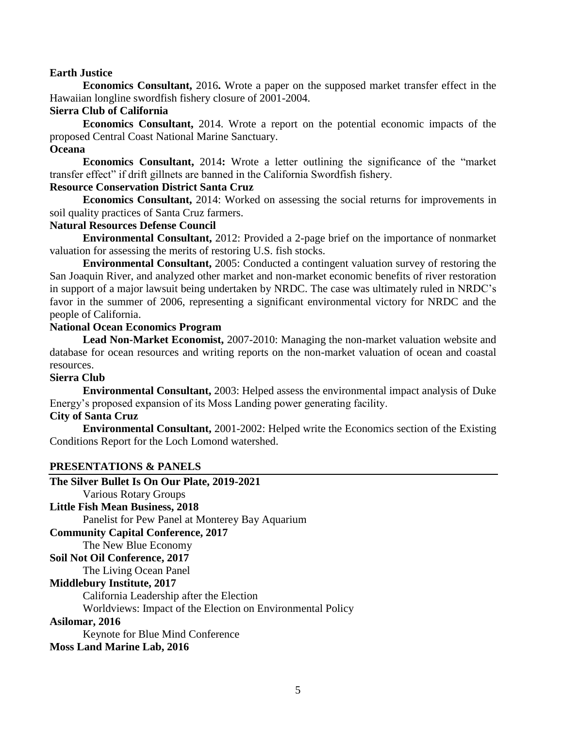## **Earth Justice**

**Economics Consultant,** 2016**.** Wrote a paper on the supposed market transfer effect in the Hawaiian longline swordfish fishery closure of 2001-2004.

## **Sierra Club of California**

**Economics Consultant,** 2014. Wrote a report on the potential economic impacts of the proposed Central Coast National Marine Sanctuary.

## **Oceana**

**Economics Consultant,** 2014**:** Wrote a letter outlining the significance of the "market transfer effect" if drift gillnets are banned in the California Swordfish fishery.

## **Resource Conservation District Santa Cruz**

**Economics Consultant,** 2014: Worked on assessing the social returns for improvements in soil quality practices of Santa Cruz farmers.

## **Natural Resources Defense Council**

**Environmental Consultant,** 2012: Provided a 2-page brief on the importance of nonmarket valuation for assessing the merits of restoring U.S. fish stocks.

**Environmental Consultant,** 2005: Conducted a contingent valuation survey of restoring the San Joaquin River, and analyzed other market and non-market economic benefits of river restoration in support of a major lawsuit being undertaken by NRDC. The case was ultimately ruled in NRDC's favor in the summer of 2006, representing a significant environmental victory for NRDC and the people of California.

### **National Ocean Economics Program**

**Lead Non-Market Economist,** 2007-2010: Managing the non-market valuation website and database for ocean resources and writing reports on the non-market valuation of ocean and coastal resources.

## **Sierra Club**

**Environmental Consultant,** 2003: Helped assess the environmental impact analysis of Duke Energy's proposed expansion of its Moss Landing power generating facility.

## **City of Santa Cruz**

**Environmental Consultant,** 2001-2002: Helped write the Economics section of the Existing Conditions Report for the Loch Lomond watershed.

## **PRESENTATIONS & PANELS**

| The Silver Bullet Is On Our Plate, 2019-2021               |
|------------------------------------------------------------|
| <b>Various Rotary Groups</b>                               |
| <b>Little Fish Mean Business, 2018</b>                     |
| Panelist for Pew Panel at Monterey Bay Aquarium            |
| <b>Community Capital Conference, 2017</b>                  |
| The New Blue Economy                                       |
| Soil Not Oil Conference, 2017                              |
| The Living Ocean Panel                                     |
| <b>Middlebury Institute, 2017</b>                          |
| California Leadership after the Election                   |
| Worldviews: Impact of the Election on Environmental Policy |
| Asilomar, 2016                                             |
| <b>Keynote for Blue Mind Conference</b>                    |
| <b>Moss Land Marine Lab, 2016</b>                          |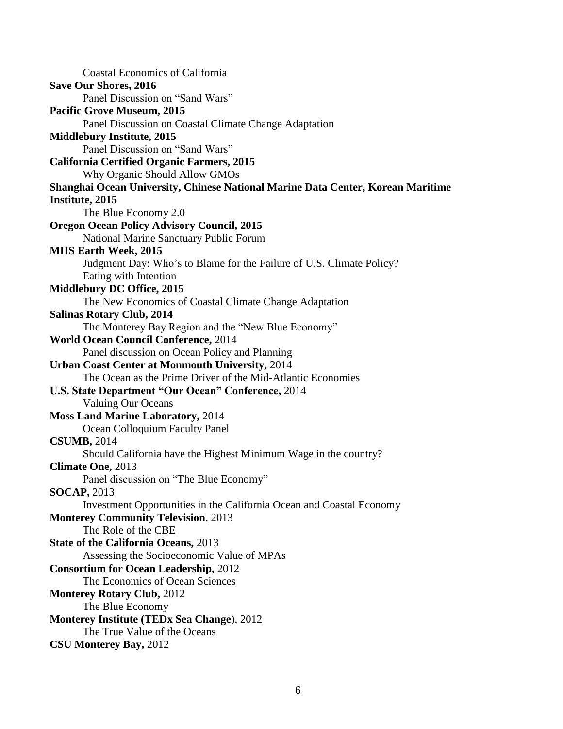Coastal Economics of California **Save Our Shores, 2016** Panel Discussion on "Sand Wars" **Pacific Grove Museum, 2015** Panel Discussion on Coastal Climate Change Adaptation **Middlebury Institute, 2015** Panel Discussion on "Sand Wars" **California Certified Organic Farmers, 2015** Why Organic Should Allow GMOs **Shanghai Ocean University, Chinese National Marine Data Center, Korean Maritime Institute, 2015** The Blue Economy 2.0 **Oregon Ocean Policy Advisory Council, 2015** National Marine Sanctuary Public Forum **MIIS Earth Week, 2015** Judgment Day: Who's to Blame for the Failure of U.S. Climate Policy? Eating with Intention **Middlebury DC Office, 2015** The New Economics of Coastal Climate Change Adaptation **Salinas Rotary Club, 2014** The Monterey Bay Region and the "New Blue Economy" **World Ocean Council Conference,** 2014 Panel discussion on Ocean Policy and Planning **Urban Coast Center at Monmouth University,** 2014 The Ocean as the Prime Driver of the Mid-Atlantic Economies **U.S. State Department "Our Ocean" Conference,** 2014 Valuing Our Oceans **Moss Land Marine Laboratory,** 2014 Ocean Colloquium Faculty Panel **CSUMB,** 2014 Should California have the Highest Minimum Wage in the country? **Climate One,** 2013 Panel discussion on "The Blue Economy" **SOCAP,** 2013 Investment Opportunities in the California Ocean and Coastal Economy **Monterey Community Television**, 2013 The Role of the CBE **State of the California Oceans,** 2013 Assessing the Socioeconomic Value of MPAs **Consortium for Ocean Leadership,** 2012 The Economics of Ocean Sciences **Monterey Rotary Club,** 2012 The Blue Economy **Monterey Institute (TEDx Sea Change**), 2012 The True Value of the Oceans **CSU Monterey Bay,** 2012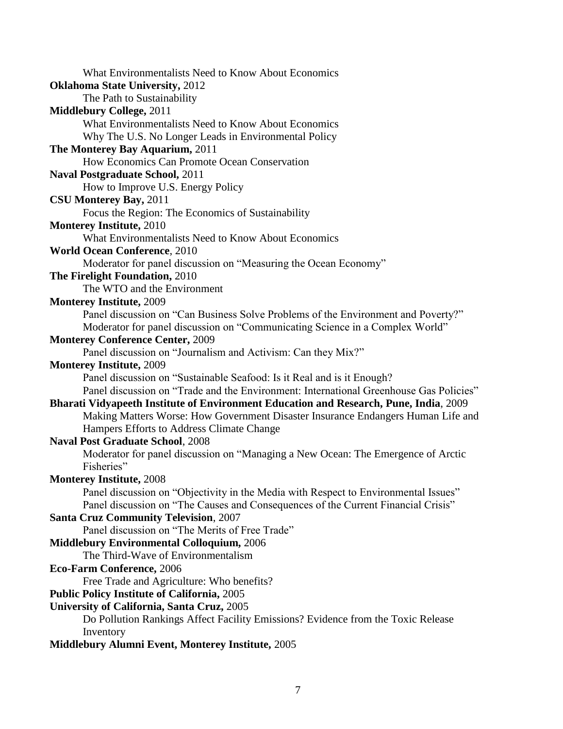What Environmentalists Need to Know About Economics **Oklahoma State University,** 2012 The Path to Sustainability **Middlebury College,** 2011 What Environmentalists Need to Know About Economics Why The U.S. No Longer Leads in Environmental Policy **The Monterey Bay Aquarium,** 2011 How Economics Can Promote Ocean Conservation **Naval Postgraduate School,** 2011 How to Improve U.S. Energy Policy **CSU Monterey Bay,** 2011 Focus the Region: The Economics of Sustainability **Monterey Institute,** 2010 What Environmentalists Need to Know About Economics **World Ocean Conference**, 2010 Moderator for panel discussion on "Measuring the Ocean Economy" **The Firelight Foundation,** 2010 The WTO and the Environment **Monterey Institute,** 2009 Panel discussion on "Can Business Solve Problems of the Environment and Poverty?" Moderator for panel discussion on "Communicating Science in a Complex World" **Monterey Conference Center,** 2009 Panel discussion on "Journalism and Activism: Can they Mix?" **Monterey Institute,** 2009 Panel discussion on "Sustainable Seafood: Is it Real and is it Enough? Panel discussion on "Trade and the Environment: International Greenhouse Gas Policies" **Bharati Vidyapeeth Institute of Environment Education and Research, Pune, India**, 2009 Making Matters Worse: How Government Disaster Insurance Endangers Human Life and Hampers Efforts to Address Climate Change **Naval Post Graduate School**, 2008 Moderator for panel discussion on "Managing a New Ocean: The Emergence of Arctic Fisheries" **Monterey Institute,** 2008 Panel discussion on "Objectivity in the Media with Respect to Environmental Issues" Panel discussion on "The Causes and Consequences of the Current Financial Crisis" **Santa Cruz Community Television**, 2007 Panel discussion on "The Merits of Free Trade" **Middlebury Environmental Colloquium,** 2006 The Third-Wave of Environmentalism **Eco-Farm Conference,** 2006 Free Trade and Agriculture: Who benefits? **Public Policy Institute of California,** 2005 **University of California, Santa Cruz,** 2005 Do Pollution Rankings Affect Facility Emissions? Evidence from the Toxic Release Inventory

**Middlebury Alumni Event, Monterey Institute,** 2005